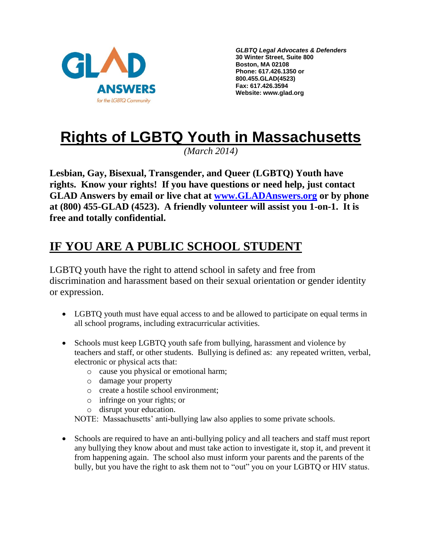

*GLBTQ Legal Advocates & Defenders* **30 Winter Street, Suite 800 Boston, MA 02108 Phone: 617.426.1350 or 800.455.GLAD(4523) Fax: 617.426.3594 Website: www.glad.org**

# **Rights of LGBTQ Youth in Massachusetts**

*(March 2014)*

**Lesbian, Gay, Bisexual, Transgender, and Queer (LGBTQ) Youth have rights. Know your rights! If you have questions or need help, just contact GLAD Answers by email or live chat at [www.GLADAnswers.org](http://www.gladanswers.org/) or by phone at (800) 455-GLAD (4523). A friendly volunteer will assist you 1-on-1. It is free and totally confidential.** 

## **IF YOU ARE A PUBLIC SCHOOL STUDENT**

LGBTQ youth have the right to attend school in safety and free from discrimination and harassment based on their sexual orientation or gender identity or expression.

- LGBTQ youth must have equal access to and be allowed to participate on equal terms in all school programs, including extracurricular activities.
- Schools must keep LGBTQ youth safe from bullying, harassment and violence by teachers and staff, or other students. Bullying is defined as: any repeated written, verbal, electronic or physical acts that:
	- o cause you physical or emotional harm;
	- o damage your property
	- o create a hostile school environment;
	- o infringe on your rights; or
	- o disrupt your education.

NOTE: Massachusetts' anti-bullying law also applies to some private schools.

• Schools are required to have an anti-bullying policy and all teachers and staff must report any bullying they know about and must take action to investigate it, stop it, and prevent it from happening again. The school also must inform your parents and the parents of the bully, but you have the right to ask them not to "out" you on your LGBTQ or HIV status.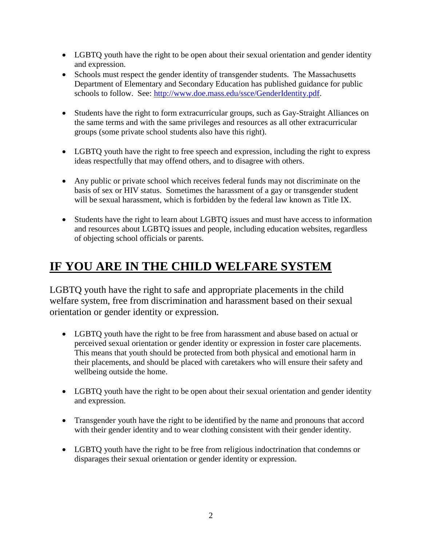- LGBTQ youth have the right to be open about their sexual orientation and gender identity and expression.
- Schools must respect the gender identity of transgender students. The Massachusetts Department of Elementary and Secondary Education has published guidance for public schools to follow. See: [http://www.doe.mass.edu/ssce/GenderIdentity.pdf.](http://www.doe.mass.edu/ssce/GenderIdentity.pdf)
- Students have the right to form extracurricular groups, such as Gay-Straight Alliances on the same terms and with the same privileges and resources as all other extracurricular groups (some private school students also have this right).
- LGBTQ youth have the right to free speech and expression, including the right to express ideas respectfully that may offend others, and to disagree with others.
- Any public or private school which receives federal funds may not discriminate on the basis of sex or HIV status. Sometimes the harassment of a gay or transgender student will be sexual harassment, which is forbidden by the federal law known as Title IX.
- Students have the right to learn about LGBTQ issues and must have access to information and resources about LGBTQ issues and people, including education websites, regardless of objecting school officials or parents.

## **IF YOU ARE IN THE CHILD WELFARE SYSTEM**

LGBTQ youth have the right to safe and appropriate placements in the child welfare system, free from discrimination and harassment based on their sexual orientation or gender identity or expression.

- LGBTO youth have the right to be free from harassment and abuse based on actual or perceived sexual orientation or gender identity or expression in foster care placements. This means that youth should be protected from both physical and emotional harm in their placements, and should be placed with caretakers who will ensure their safety and wellbeing outside the home.
- LGBTQ youth have the right to be open about their sexual orientation and gender identity and expression.
- Transgender youth have the right to be identified by the name and pronouns that accord with their gender identity and to wear clothing consistent with their gender identity.
- LGBTQ youth have the right to be free from religious indoctrination that condemns or disparages their sexual orientation or gender identity or expression.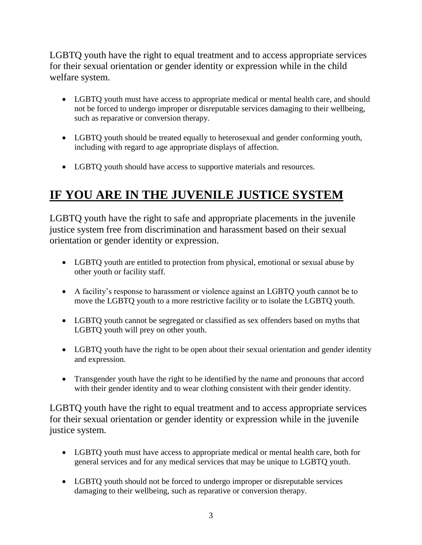LGBTQ youth have the right to equal treatment and to access appropriate services for their sexual orientation or gender identity or expression while in the child welfare system.

- LGBTQ youth must have access to appropriate medical or mental health care, and should not be forced to undergo improper or disreputable services damaging to their wellbeing, such as reparative or conversion therapy.
- LGBTQ youth should be treated equally to heterosexual and gender conforming youth, including with regard to age appropriate displays of affection.
- LGBTQ youth should have access to supportive materials and resources.

## **IF YOU ARE IN THE JUVENILE JUSTICE SYSTEM**

LGBTQ youth have the right to safe and appropriate placements in the juvenile justice system free from discrimination and harassment based on their sexual orientation or gender identity or expression.

- LGBTQ youth are entitled to protection from physical, emotional or sexual abuse by other youth or facility staff.
- A facility's response to harassment or violence against an LGBTQ youth cannot be to move the LGBTQ youth to a more restrictive facility or to isolate the LGBTQ youth.
- LGBTQ youth cannot be segregated or classified as sex offenders based on myths that LGBTQ youth will prey on other youth.
- LGBTQ youth have the right to be open about their sexual orientation and gender identity and expression.
- Transgender youth have the right to be identified by the name and pronouns that accord with their gender identity and to wear clothing consistent with their gender identity.

LGBTQ youth have the right to equal treatment and to access appropriate services for their sexual orientation or gender identity or expression while in the juvenile justice system.

- LGBTQ youth must have access to appropriate medical or mental health care, both for general services and for any medical services that may be unique to LGBTQ youth.
- LGBTQ youth should not be forced to undergo improper or disreputable services damaging to their wellbeing, such as reparative or conversion therapy.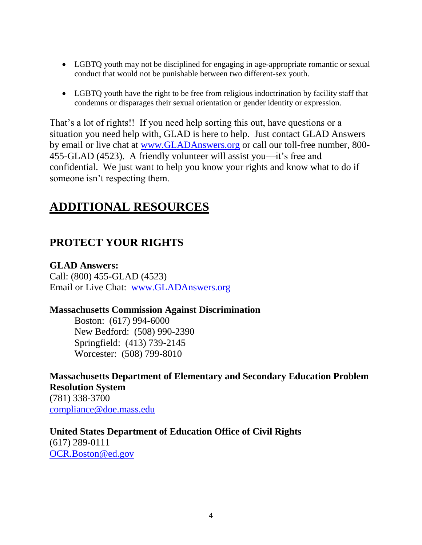- LGBTQ youth may not be disciplined for engaging in age-appropriate romantic or sexual conduct that would not be punishable between two different-sex youth.
- LGBTQ youth have the right to be free from religious indoctrination by facility staff that condemns or disparages their sexual orientation or gender identity or expression.

That's a lot of rights!! If you need help sorting this out, have questions or a situation you need help with, GLAD is here to help. Just contact GLAD Answers by email or live chat at [www.GLADAnswers.org](http://www.gladanswers.org/) or call our toll-free number, 800- 455-GLAD (4523). A friendly volunteer will assist you—it's free and confidential. We just want to help you know your rights and know what to do if someone isn't respecting them.

## **ADDITIONAL RESOURCES**

### **PROTECT YOUR RIGHTS**

#### **GLAD Answers:**

Call: (800) 455-GLAD (4523) Email or Live Chat: [www.GLADAnswers.org](http://www.gladanswers.org/)

#### **Massachusetts Commission Against Discrimination**

Boston: (617) 994-6000 New Bedford: (508) 990-2390 Springfield: (413) 739-2145 Worcester: (508) 799-8010

#### **Massachusetts Department of Elementary and Secondary Education Problem Resolution System**

(781) 338-3700 [compliance@doe.mass.edu](mailto:compliance@doe.mass.edu)

#### **United States Department of Education Office of Civil Rights**

(617) 289-0111 [OCR.Boston@ed.gov](mailto:OCR.Boston@ed.gov)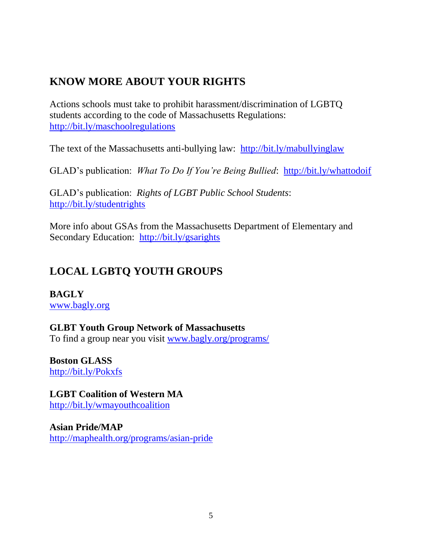### **KNOW MORE ABOUT YOUR RIGHTS**

Actions schools must take to prohibit harassment/discrimination of LGBTQ students according to the code of Massachusetts Regulations: <http://bit.ly/maschoolregulations>

The text of the Massachusetts anti-bullying law: <http://bit.ly/mabullyinglaw>

GLAD's publication: *What To Do If You're Being Bullied*: <http://bit.ly/whattodoif>

GLAD's publication: *Rights of LGBT Public School Students*: <http://bit.ly/studentrights>

More info about GSAs from the Massachusetts Department of Elementary and Secondary Education: <http://bit.ly/gsarights>

### **LOCAL LGBTQ YOUTH GROUPS**

**BAGLY** [www.bagly.org](http://www.bagly.org/)

**GLBT Youth Group Network of Massachusetts** To find a group near you visit [www.bagly.org/programs/](http://www.bagly.org/programs/)

**Boston GLASS** <http://bit.ly/Pokxfs>

**LGBT Coalition of Western MA** <http://bit.ly/wmayouthcoalition>

**Asian Pride/MAP** <http://maphealth.org/programs/asian-pride>